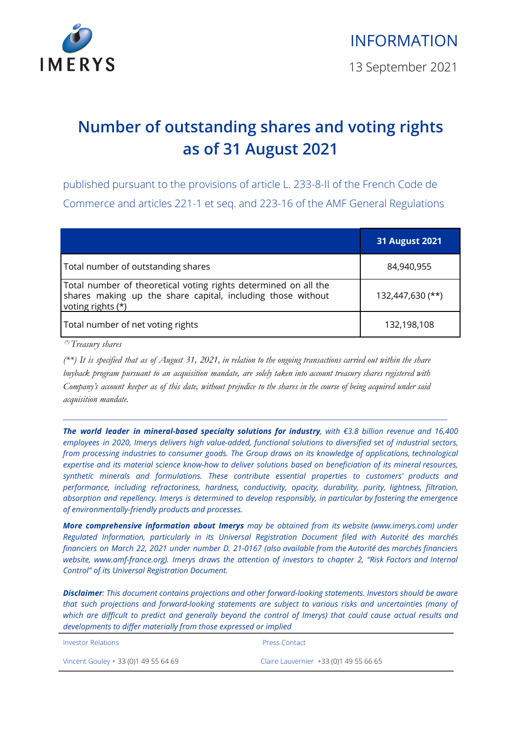

## **Number of outstanding shares and voting rights as of 31 August 2021**

published pursuant to the provisions of article L. 233-8-II of the French Code de Commerce and articles 221-1 et seq. and 223-16 of the AMF General Regulations

|                                                                                                                                                     | <b>31 August 2021</b> |
|-----------------------------------------------------------------------------------------------------------------------------------------------------|-----------------------|
| Total number of outstanding shares                                                                                                                  | 84,940,955            |
| Total number of theoretical voting rights determined on all the<br>shares making up the share capital, including those without<br>voting rights (*) | 132,447,630 (**)      |
| Total number of net voting rights                                                                                                                   | 132,198,108           |

*(\*)Treasury shares*

 $(**)$  It is specified that as of August 31, 2021, in relation to the ongoing transactions carried out within the share buyback program pursuant to an acquisition mandate, are solely taken into account treasury shares registered with Company's account keeper as of this date, without prejudice to the shares in the course of being acquired under said *acquisition mandate.*

\_\_\_\_\_\_\_\_\_\_\_\_\_\_\_\_\_\_\_\_\_\_\_\_\_\_\_\_\_\_\_\_\_\_\_\_\_\_\_\_\_\_\_\_\_\_\_\_\_\_\_\_\_\_\_\_\_\_\_\_\_\_\_\_\_\_\_\_\_\_\_\_\_\_\_\_\_\_\_\_\_\_\_\_\_\_\_\_\_

*The world leader in mineral-based specialty solutions for industry, with €3.8 billion revenue and 16,400 employees in 2020, Imerys delivers high value-added, functional solutions to diversified set of industrial sectors, from processing industries to consumer goods. The Group draws on its knowledge of applications, technological* expertise and its material science know-how to deliver solutions based on beneficiation of its mineral resources, *synthetic minerals and formulations. These contribute essential properties to customers' products and performance, including refractoriness, hardness, conductivity, opacity, durability, purity, lightness, filtration, absorption and repellency. Imerys is determined to develop responsibly, in particular by fostering the emergence of environmentally-friendly products and processes.*

*More comprehensive information about Imerys may be obtained from its website (www.imerys.com) under Regulated Information, particularly in its Universal Registration Document filed with Autorité des marchés* financiers on March 22, 2021 under number D. 21-0167 (also available from the Autorité des marchés financiers *website, www.amf-france.org). Imerys draws the attention of investors to chapter 2, "Risk Factors and Internal Control" of its Universal Registration Document.*

*Disclaimer: This document contains projections and other forward-looking statements. Investors should be aware that such projections and forward-looking statements are subject to various risks and uncertainties (many of* which are difficult to predict and generally beyond the control of Imerys) that could cause actual results and *developments to differ materially from those expressed or implied*

| <b>Investor Relations</b>            | <b>Press Contact</b>                   |
|--------------------------------------|----------------------------------------|
| Vincent Gouley + 33 (0)1 49 55 64 69 | Claire Lauvernier +33 (0)1 49 55 66 65 |